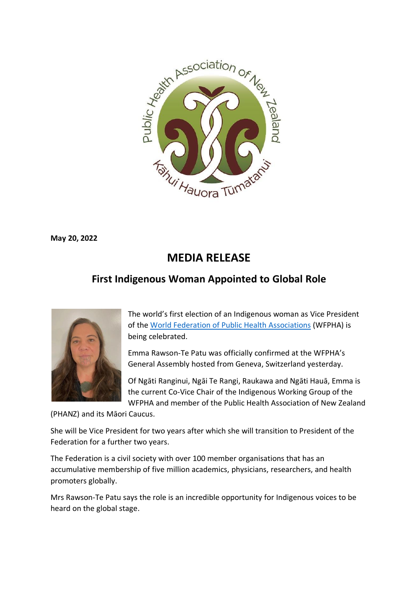

**May 20, 2022**

## **MEDIA RELEASE**

## **First Indigenous Woman Appointed to Global Role**



The world's first election of an Indigenous woman as Vice President of the [World Federation of Public Health Associations](https://www.wfpha.org/) (WFPHA) is being celebrated.

Emma Rawson-Te Patu was officially confirmed at the WFPHA's General Assembly hosted from Geneva, Switzerland yesterday.

Of Ngāti Ranginui, Ngāi Te Rangi, Raukawa and Ngāti Hauā, Emma is the current Co-Vice Chair of the Indigenous Working Group of the WFPHA and member of the Public Health Association of New Zealand

(PHANZ) and its Māori Caucus.

She will be Vice President for two years after which she will transition to President of the Federation for a further two years.

The Federation is a civil society with over 100 member organisations that has an accumulative membership of five million academics, physicians, researchers, and health promoters globally.

Mrs Rawson-Te Patu says the role is an incredible opportunity for Indigenous voices to be heard on the global stage.